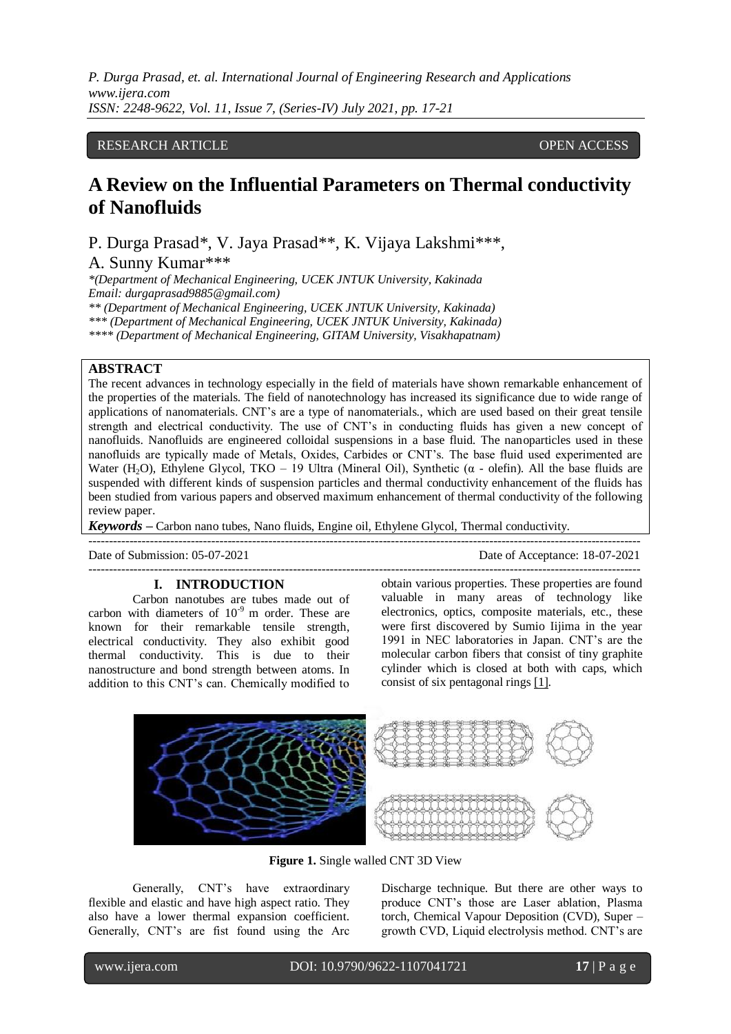*P. Durga Prasad, et. al. International Journal of Engineering Research and Applications www.ijera.com ISSN: 2248-9622, Vol. 11, Issue 7, (Series-IV) July 2021, pp. 17-21*

## RESEARCH ARTICLE **CONSERVERS** OPEN ACCESS

# **A Review on the Influential Parameters on Thermal conductivity of Nanofluids**

P. Durga Prasad\*, V. Jaya Prasad\*\*, K. Vijaya Lakshmi\*\*\*, A. Sunny Kumar\*\*\*

*\*(Department of Mechanical Engineering, UCEK JNTUK University, Kakinada Email: durgaprasad9885@gmail.com) \*\* (Department of Mechanical Engineering, UCEK JNTUK University, Kakinada) \*\*\* (Department of Mechanical Engineering, UCEK JNTUK University, Kakinada)*

*\*\*\*\* (Department of Mechanical Engineering, GITAM University, Visakhapatnam)*

# **ABSTRACT**

The recent advances in technology especially in the field of materials have shown remarkable enhancement of the properties of the materials. The field of nanotechnology has increased its significance due to wide range of applications of nanomaterials. CNT's are a type of nanomaterials., which are used based on their great tensile strength and electrical conductivity. The use of CNT's in conducting fluids has given a new concept of nanofluids. Nanofluids are engineered colloidal suspensions in a base fluid. The nanoparticles used in these nanofluids are typically made of Metals, Oxides, Carbides or CNT's. The base fluid used experimented are Water (H<sub>2</sub>O), Ethylene Glycol, TKO – 19 Ultra (Mineral Oil), Synthetic ( $\alpha$  - olefin). All the base fluids are suspended with different kinds of suspension particles and thermal conductivity enhancement of the fluids has been studied from various papers and observed maximum enhancement of thermal conductivity of the following review paper.

---------------------------------------------------------------------------------------------------------------------------------------

---------------------------------------------------------------------------------------------------------------------------------------

*Keywords* **–** Carbon nano tubes, Nano fluids, Engine oil, Ethylene Glycol, Thermal conductivity.

Date of Submission: 05-07-2021 Date of Acceptance: 18-07-2021

#### **I. INTRODUCTION**

Carbon nanotubes are tubes made out of carbon with diameters of  $10^{-9}$  m order. These are known for their remarkable tensile strength, electrical conductivity. They also exhibit good thermal conductivity. This is due to their nanostructure and bond strength between atoms. In addition to this CNT's can. Chemically modified to

obtain various properties. These properties are found valuable in many areas of technology like electronics, optics, composite materials, etc., these were first discovered by Sumio Iijima in the year 1991 in NEC laboratories in Japan. CNT's are the molecular carbon fibers that consist of tiny graphite cylinder which is closed at both with caps, which consist of six pentagonal rings [\[1\].](#page-4-0)



**Figure 1.** Single walled CNT 3D View

Generally, CNT's have extraordinary flexible and elastic and have high aspect ratio. They also have a lower thermal expansion coefficient. Generally, CNT's are fist found using the Arc

Discharge technique. But there are other ways to produce CNT's those are Laser ablation, Plasma torch, Chemical Vapour Deposition (CVD), Super – growth CVD, Liquid electrolysis method. CNT's are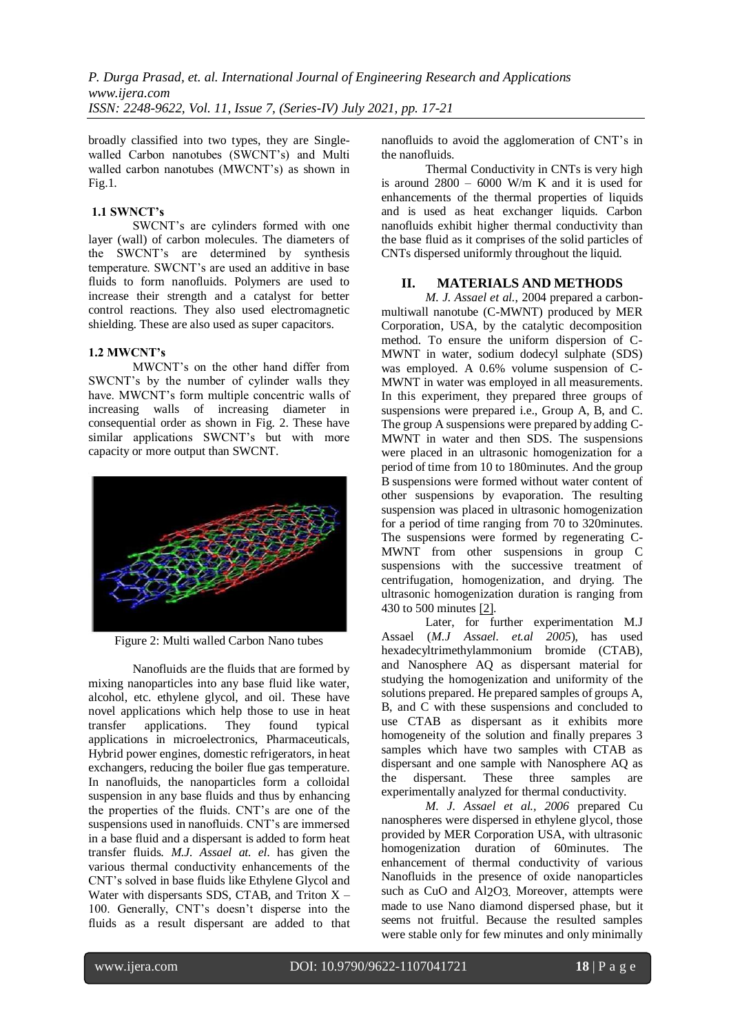broadly classified into two types, they are Singlewalled Carbon nanotubes (SWCNT's) and Multi walled carbon nanotubes (MWCNT's) as shown in Fig.1.

#### **1.1 SWNCT's**

SWCNT's are cylinders formed with one layer (wall) of carbon molecules. The diameters of the SWCNT's are determined by synthesis temperature. SWCNT's are used an additive in base fluids to form nanofluids. Polymers are used to increase their strength and a catalyst for better control reactions. They also used electromagnetic shielding. These are also used as super capacitors.

## **1.2 MWCNT's**

MWCNT's on the other hand differ from SWCNT's by the number of cylinder walls they have. MWCNT's form multiple concentric walls of increasing walls of increasing diameter in consequential order as shown in Fig. 2. These have similar applications SWCNT's but with more capacity or more output than SWCNT.



Figure 2: Multi walled Carbon Nano tubes

Nanofluids are the fluids that are formed by mixing nanoparticles into any base fluid like water, alcohol, etc. ethylene glycol, and oil. These have novel applications which help those to use in heat transfer applications. They found typical applications in microelectronics, Pharmaceuticals, Hybrid power engines, domestic refrigerators, in heat exchangers, reducing the boiler flue gas temperature. In nanofluids, the nanoparticles form a colloidal suspension in any base fluids and thus by enhancing the properties of the fluids. CNT's are one of the suspensions used in nanofluids. CNT's are immersed in a base fluid and a dispersant is added to form heat transfer fluids. *M.J. Assael at. el.* has given the various thermal conductivity enhancements of the CNT's solved in base fluids like Ethylene Glycol and Water with dispersants SDS, CTAB, and Triton  $X -$ 100. Generally, CNT's doesn't disperse into the fluids as a result dispersant are added to that nanofluids to avoid the agglomeration of CNT's in the nanofluids.

Thermal Conductivity in CNTs is very high is around  $2800 - 6000$  W/m K and it is used for enhancements of the thermal properties of liquids and is used as heat exchanger liquids. Carbon nanofluids exhibit higher thermal conductivity than the base fluid as it comprises of the solid particles of CNTs dispersed uniformly throughout the liquid.

## **II. MATERIALS AND METHODS**

*M. J. Assael et al.*, 2004 prepared a carbonmultiwall nanotube (C-MWNT) produced by MER Corporation, USA, by the catalytic decomposition method. To ensure the uniform dispersion of C-MWNT in water, sodium dodecyl sulphate (SDS) was employed. A 0.6% volume suspension of C-MWNT in water was employed in all measurements. In this experiment, they prepared three groups of suspensions were prepared i.e., Group A, B, and C. The group A suspensions were prepared byadding C-MWNT in water and then SDS. The suspensions were placed in an ultrasonic homogenization for a period of time from 10 to 180minutes. And the group B suspensions were formed without water content of other suspensions by evaporation. The resulting suspension was placed in ultrasonic homogenization for a period of time ranging from 70 to 320minutes. The suspensions were formed by regenerating C-MWNT from other suspensions in group C suspensions with the successive treatment of centrifugation, homogenization, and drying. The ultrasonic homogenization duration is ranging from 430 to 500 minutes [\[2\].](#page-4-1)

Later, for further experimentation M.J Assael (*M.J Assael. et.al 2005*), has used hexadecyltrimethylammonium bromide (CTAB), and Nanosphere AQ as dispersant material for studying the homogenization and uniformity of the solutions prepared. He prepared samples of groups A, B, and C with these suspensions and concluded to use CTAB as dispersant as it exhibits more homogeneity of the solution and finally prepares 3 samples which have two samples with CTAB as dispersant and one sample with Nanosphere AQ as the dispersant. These three samples are experimentally analyzed for thermal conductivity.

*M. J. Assael et al., 2006* prepared Cu nanospheres were dispersed in ethylene glycol, those provided by MER Corporation USA, with ultrasonic homogenization duration of 60minutes. The enhancement of thermal conductivity of various Nanofluids in the presence of oxide nanoparticles such as CuO and Al2O3. Moreover, attempts were made to use Nano diamond dispersed phase, but it seems not fruitful. Because the resulted samples were stable only for few minutes and only minimally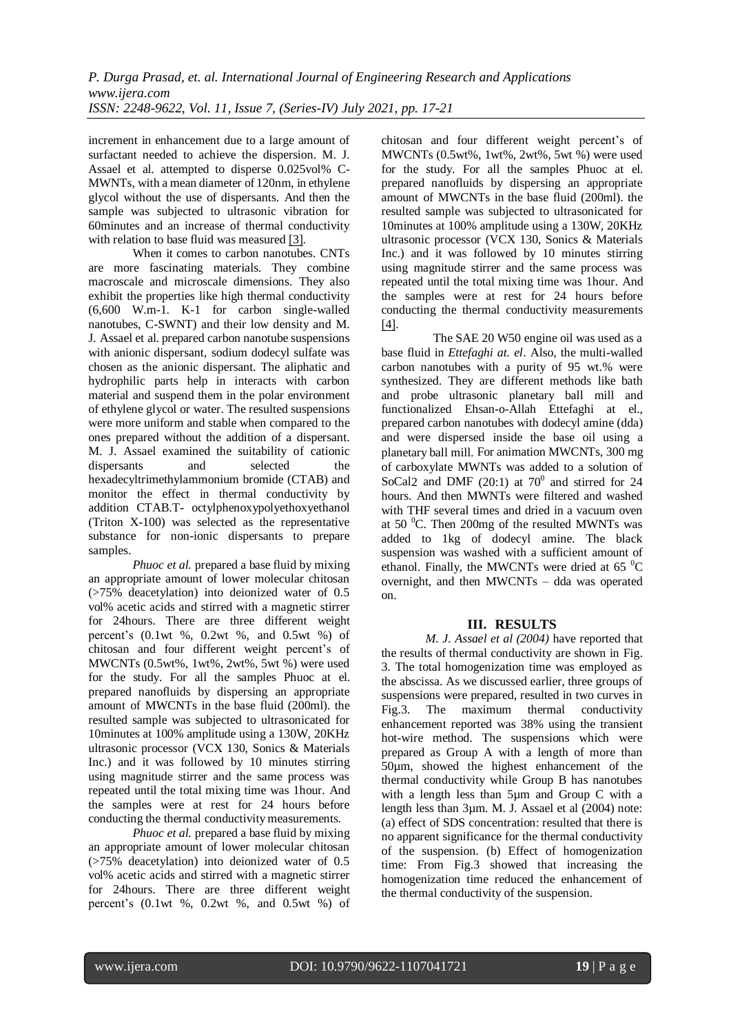increment in enhancement due to a large amount of surfactant needed to achieve the dispersion. M. J. Assael et al. attempted to disperse 0.025vol% C-MWNTs, with a mean diameter of 120nm, in ethylene glycol without the use of dispersants. And then the sample was subjected to ultrasonic vibration for 60minutes and an increase of thermal conductivity with relation to base fluid was measured [\[3\].](#page-4-2)

When it comes to carbon nanotubes. CNTs are more fascinating materials. They combine macroscale and microscale dimensions. They also exhibit the properties like high thermal conductivity (6,600 W.m-1. K-1 for carbon single-walled nanotubes, C-SWNT) and their low density and M. J. Assael et al. prepared carbon nanotube suspensions with anionic dispersant, sodium dodecyl sulfate was chosen as the anionic dispersant. The aliphatic and hydrophilic parts help in interacts with carbon material and suspend them in the polar environment of ethylene glycol or water. The resulted suspensions were more uniform and stable when compared to the ones prepared without the addition of a dispersant. M. J. Assael examined the suitability of cationic dispersants and selected the hexadecyltrimethylammonium bromide (CTAB) and monitor the effect in thermal conductivity by addition CTAB.T- octylphenoxypolyethoxyethanol (Triton X-100) was selected as the representative substance for non-ionic dispersants to prepare samples.

*Phuoc et al.* prepared a base fluid by mixing an appropriate amount of lower molecular chitosan (>75% deacetylation) into deionized water of 0.5 vol% acetic acids and stirred with a magnetic stirrer for 24hours. There are three different weight percent's (0.1wt %, 0.2wt %, and 0.5wt %) of chitosan and four different weight percent's of MWCNTs (0.5wt%, 1wt%, 2wt%, 5wt %) were used for the study. For all the samples Phuoc at el. prepared nanofluids by dispersing an appropriate amount of MWCNTs in the base fluid (200ml). the resulted sample was subjected to ultrasonicated for 10minutes at 100% amplitude using a 130W, 20KHz ultrasonic processor (VCX 130, Sonics & Materials Inc.) and it was followed by 10 minutes stirring using magnitude stirrer and the same process was repeated until the total mixing time was 1hour. And the samples were at rest for 24 hours before conducting the thermal conductivity measurements.

*Phuoc et al.* prepared a base fluid by mixing an appropriate amount of lower molecular chitosan (>75% deacetylation) into deionized water of 0.5 vol% acetic acids and stirred with a magnetic stirrer for 24hours. There are three different weight percent's (0.1wt %, 0.2wt %, and 0.5wt %) of

chitosan and four different weight percent's of MWCNTs (0.5wt%, 1wt%, 2wt%, 5wt %) were used for the study. For all the samples Phuoc at el. prepared nanofluids by dispersing an appropriate amount of MWCNTs in the base fluid (200ml). the resulted sample was subjected to ultrasonicated for 10minutes at 100% amplitude using a 130W, 20KHz ultrasonic processor (VCX 130, Sonics & Materials Inc.) and it was followed by 10 minutes stirring using magnitude stirrer and the same process was repeated until the total mixing time was 1hour. And the samples were at rest for 24 hours before conducting the thermal conductivity measurements [\[4\].](#page-4-3)

 The SAE 20 W50 engine oil was used as a base fluid in *Ettefaghi at. el*. Also, the multi-walled carbon nanotubes with a purity of 95 wt.% were synthesized. They are different methods like bath and probe ultrasonic planetary ball mill and functionalized Ehsan-o-Allah Ettefaghi at el., prepared carbon nanotubes with dodecyl amine (dda) and were dispersed inside the base oil using a planetary ball mill. For animation MWCNTs, 300 mg of carboxylate MWNTs was added to a solution of SoCal<sub>2</sub> and DMF (20:1) at  $70^0$  and stirred for 24 hours. And then MWNTs were filtered and washed with THF several times and dried in a vacuum oven at 50 $\degree$ C. Then 200mg of the resulted MWNTs was added to 1kg of dodecyl amine. The black suspension was washed with a sufficient amount of ethanol. Finally, the MWCNTs were dried at  $65<sup>0</sup>C$ overnight, and then MWCNTs – dda was operated on.

# **III. RESULTS**

*M. J. Assael et al (2004)* have reported that the results of thermal conductivity are shown in Fig. 3. The total homogenization time was employed as the abscissa. As we discussed earlier, three groups of suspensions were prepared, resulted in two curves in Fig.3. The maximum thermal conductivity enhancement reported was 38% using the transient hot-wire method. The suspensions which were prepared as Group A with a length of more than 50µm, showed the highest enhancement of the thermal conductivity while Group B has nanotubes with a length less than 5µm and Group C with a length less than 3µm. M. J. Assael et al (2004) note: (a) effect of SDS concentration: resulted that there is no apparent significance for the thermal conductivity of the suspension. (b) Effect of homogenization time: From Fig.3 showed that increasing the homogenization time reduced the enhancement of the thermal conductivity of the suspension.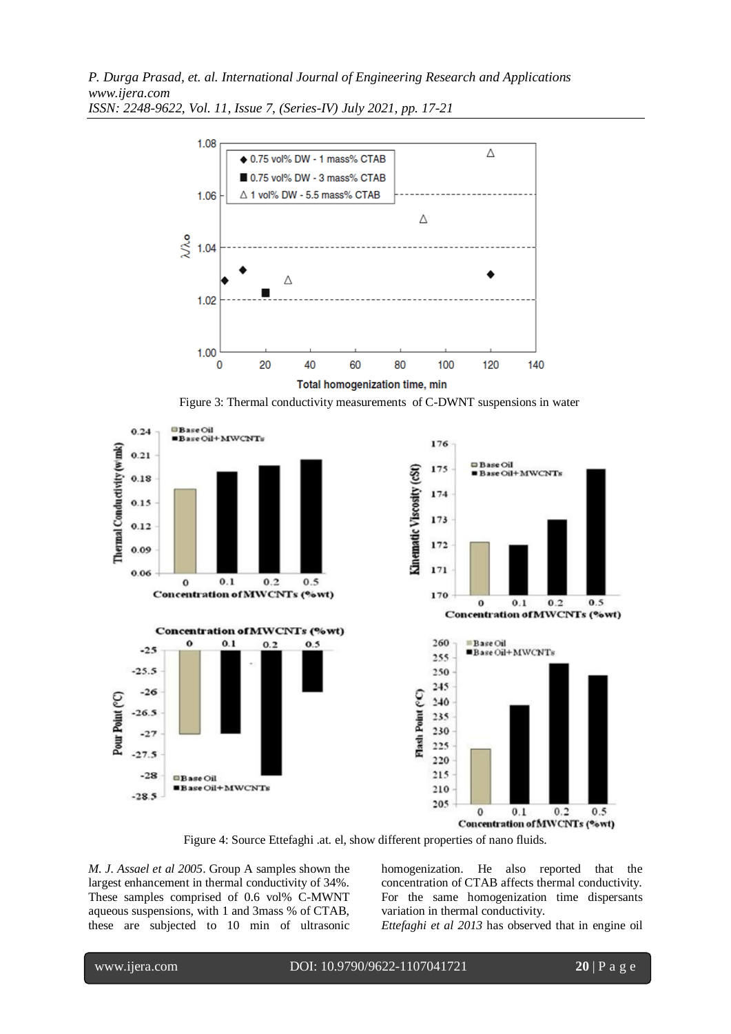*P. Durga Prasad, et. al. International Journal of Engineering Research and Applications www.ijera.com*



*ISSN: 2248-9622, Vol. 11, Issue 7, (Series-IV) July 2021, pp. 17-21*

Figure 3: Thermal conductivity measurements of C-DWNT suspensions in water





Figure 4: Source Ettefaghi .at. el, show different properties of nano fluids.

*M. J. Assael et al 2005*. Group A samples shown the largest enhancement in thermal conductivity of 34%. These samples comprised of 0.6 vol% C-MWNT aqueous suspensions, with 1 and 3mass % of CTAB, these are subjected to 10 min of ultrasonic homogenization. He also reported that the concentration of CTAB affects thermal conductivity. For the same homogenization time dispersants variation in thermal conductivity.

*Ettefaghi et al 2013* has observed that in engine oil